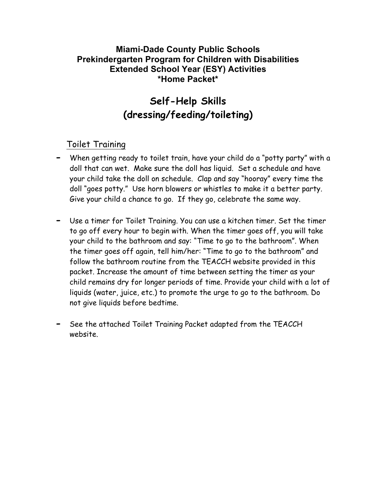## **Miami-Dade County Public Schools Prekindergarten Program for Children with Disabilities Extended School Year (ESY) Activities \*Home Packet\***

# **Self-Help Skills (dressing/feeding/toileting)**

# Toilet Training

- **-** When getting ready to toilet train, have your child do a "potty party" with a doll that can wet. Make sure the doll has liquid. Set a schedule and have your child take the doll on schedule. Clap and say "hooray" every time the doll "goes potty." Use horn blowers or whistles to make it a better party. Give your child a chance to go. If they go, celebrate the same way.
- **-** Use a timer for Toilet Training. You can use a kitchen timer. Set the timer to go off every hour to begin with. When the timer goes off, you will take your child to the bathroom and say: "Time to go to the bathroom". When the timer goes off again, tell him/her: "Time to go to the bathroom" and follow the bathroom routine from the TEACCH website provided in this packet. Increase the amount of time between setting the timer as your child remains dry for longer periods of time. Provide your child with a lot of liquids (water, juice, etc.) to promote the urge to go to the bathroom. Do not give liquids before bedtime.
- **-** See the attached Toilet Training Packet adapted from the TEACCH website.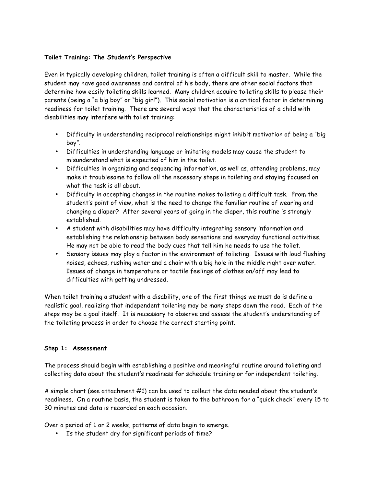#### **Toilet Training: The Student's Perspective**

Even in typically developing children, toilet training is often a difficult skill to master. While the student may have good awareness and control of his body, there are other social factors that determine how easily toileting skills learned. Many children acquire toileting skills to please their parents (being a "a big boy" or "big girl"). This social motivation is a critical factor in determining readiness for toilet training. There are several ways that the characteristics of a child with disabilities may interfere with toilet training:

- Difficulty in understanding reciprocal relationships might inhibit motivation of being a "big boy".
- Difficulties in understanding language or imitating models may cause the student to misunderstand what is expected of him in the toilet.
- Difficulties in organizing and sequencing information, as well as, attending problems, may make it troublesome to follow all the necessary steps in toileting and staying focused on what the task is all about.
- Difficulty in accepting changes in the routine makes toileting a difficult task. From the student's point of view, what is the need to change the familiar routine of wearing and changing a diaper? After several years of going in the diaper, this routine is strongly established.
- A student with disabilities may have difficulty integrating sensory information and establishing the relationship between body sensations and everyday functional activities. He may not be able to read the body cues that tell him he needs to use the toilet.
- Sensory issues may play a factor in the environment of toileting. Issues with loud flushing noises, echoes, rushing water and a chair with a big hole in the middle right over water. Issues of change in temperature or tactile feelings of clothes on/off may lead to difficulties with getting undressed.

When toilet training a student with a disability, one of the first things we must do is define a realistic goal, realizing that independent toileting may be many steps down the road. Each of the steps may be a goal itself. It is necessary to observe and assess the student's understanding of the toileting process in order to choose the correct starting point.

#### **Step 1: Assessment**

The process should begin with establishing a positive and meaningful routine around toileting and collecting data about the student's readiness for schedule training or for independent toileting.

A simple chart (see attachment #1) can be used to collect the data needed about the student's readiness. On a routine basis, the student is taken to the bathroom for a "quick check" every 15 to 30 minutes and data is recorded on each occasion.

Over a period of 1 or 2 weeks, patterns of data begin to emerge.

• Is the student dry for significant periods of time?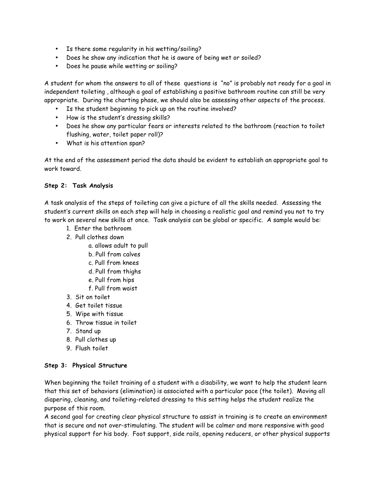- Is there some regularity in his wetting/soiling?
- Does he show any indication that he is aware of being wet or soiled?
- Does he pause while wetting or soiling?

A student for whom the answers to all of these questions is "no" is probably not ready for a goal in independent toileting , although a goal of establishing a positive bathroom routine can still be very appropriate. During the charting phase, we should also be assessing other aspects of the process.

- Is the student beginning to pick up on the routine involved?
- How is the student's dressing skills?
- Does he show any particular fears or interests related to the bathroom (reaction to toilet flushing, water, toilet paper roll)?
- What is his attention span?

At the end of the assessment period the data should be evident to establish an appropriate goal to work toward.

### **Step 2: Task Analysis**

A task analysis of the steps of toileting can give a picture of all the skills needed. Assessing the student's current skills on each step will help in choosing a realistic goal and remind you not to try to work on several new skills at once. Task analysis can be global or specific. A sample would be:

- 1. Enter the bathroom
- 2. Pull clothes down
	- a. allows adult to pull
	- b. Pull from calves
	- c. Pull from knees
	- d. Pull from thighs
	- e. Pull from hips
	- f. Pull from waist
- 3. Sit on toilet
- 4. Get toilet tissue
- 5. Wipe with tissue
- 6. Throw tissue in toilet
- 7. Stand up
- 8. Pull clothes up
- 9. Flush toilet

#### **Step 3: Physical Structure**

When beginning the toilet training of a student with a disability, we want to help the student learn that this set of behaviors (elimination) is associated with a particular pace (the toilet). Moving all diapering, cleaning, and toileting-related dressing to this setting helps the student realize the purpose of this room.

A second goal for creating clear physical structure to assist in training is to create an environment that is secure and not over-stimulating. The student will be calmer and more responsive with good physical support for his body. Foot support, side rails, opening reducers, or other physical supports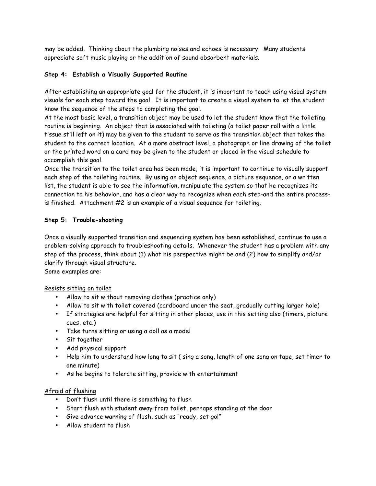may be added. Thinking about the plumbing noises and echoes is necessary. Many students appreciate soft music playing or the addition of sound absorbent materials.

### **Step 4: Establish a Visually Supported Routine**

After establishing an appropriate goal for the student, it is important to teach using visual system visuals for each step toward the goal. It is important to create a visual system to let the student know the sequence of the steps to completing the goal.

At the most basic level, a transition object may be used to let the student know that the toileting routine is beginning. An object that is associated with toileting (a toilet paper roll with a little tissue still left on it) may be given to the student to serve as the transition object that takes the student to the correct location. At a more abstract level, a photograph or line drawing of the toilet or the printed word on a card may be given to the student or placed in the visual schedule to accomplish this goal.

Once the transition to the toilet area has been made, it is important to continue to visually support each step of the toileting routine. By using an object sequence, a picture sequence, or a written list, the student is able to see the information, manipulate the system so that he recognizes its connection to his behavior, and has a clear way to recognize when each step-and the entire processis finished. Attachment #2 is an example of a visual sequence for toileting.

### **Step 5: Trouble-shooting**

Once a visually supported transition and sequencing system has been established, continue to use a problem-solving approach to troubleshooting details. Whenever the student has a problem with any step of the process, think about (1) what his perspective might be and (2) how to simplify and/or clarify through visual structure.

Some examples are:

### Resists sitting on toilet

- Allow to sit without removing clothes (practice only)
- Allow to sit with toilet covered (cardboard under the seat, gradually cutting larger hole)
- If strategies are helpful for sitting in other places, use in this setting also (timers, picture cues, etc.)
- Take turns sitting or using a doll as a model
- Sit together
- Add physical support
- Help him to understand how long to sit ( sing a song, length of one song on tape, set timer to one minute)
- As he begins to tolerate sitting, provide with entertainment

### Afraid of flushing

- Don't flush until there is something to flush
- Start flush with student away from toilet, perhaps standing at the door
- Give advance warning of flush, such as "ready, set go!"
- Allow student to flush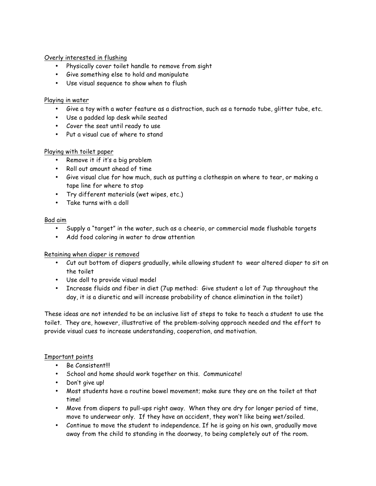#### Overly interested in flushing

- Physically cover toilet handle to remove from sight
- Give something else to hold and manipulate
- Use visual sequence to show when to flush

#### Playing in water

- Give a toy with a water feature as a distraction, such as a tornado tube, glitter tube, etc.
- Use a padded lap desk while seated
- Cover the seat until ready to use
- Put a visual cue of where to stand

### Playing with toilet paper

- Remove it if it's a big problem
- Roll out amount ahead of time
- Give visual clue for how much, such as putting a clothespin on where to tear, or making a tape line for where to stop
- Try different materials (wet wipes, etc.)
- Take turns with a doll

#### Bad aim

- Supply a "target" in the water, such as a cheerio, or commercial made flushable targets
- Add food coloring in water to draw attention

#### Retaining when diaper is removed

- Cut out bottom of diapers gradually, while allowing student to wear altered diaper to sit on the toilet
- Use doll to provide visual model
- Increase fluids and fiber in diet (7up method: Give student a lot of 7up throughout the day, it is a diuretic and will increase probability of chance elimination in the toilet)

These ideas are not intended to be an inclusive list of steps to take to teach a student to use the toilet. They are, however, illustrative of the problem-solving approach needed and the effort to provide visual cues to increase understanding, cooperation, and motivation.

#### Important points

- Be Consistent!!!
- School and home should work together on this. Communicate!
- Don't give up!
- Most students have a routine bowel movement; make sure they are on the toilet at that time!
- Move from diapers to pull-ups right away. When they are dry for longer period of time, move to underwear only. If they have an accident, they won't like being wet/soiled.
- Continue to move the student to independence. If he is going on his own, gradually move away from the child to standing in the doorway, to being completely out of the room.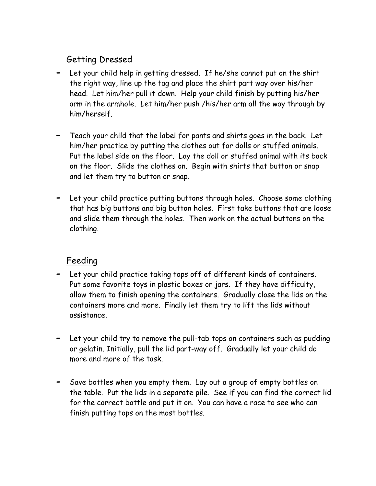# Getting Dressed

- **-** Let your child help in getting dressed. If he/she cannot put on the shirt the right way, line up the tag and place the shirt part way over his/her head. Let him/her pull it down. Help your child finish by putting his/her arm in the armhole. Let him/her push /his/her arm all the way through by him/herself.
- **-** Teach your child that the label for pants and shirts goes in the back. Let him/her practice by putting the clothes out for dolls or stuffed animals. Put the label side on the floor. Lay the doll or stuffed animal with its back on the floor. Slide the clothes on. Begin with shirts that button or snap and let them try to button or snap.
- **-** Let your child practice putting buttons through holes. Choose some clothing that has big buttons and big button holes. First take buttons that are loose and slide them through the holes. Then work on the actual buttons on the clothing.

# Feeding

- **-** Let your child practice taking tops off of different kinds of containers. Put some favorite toys in plastic boxes or jars. If they have difficulty, allow them to finish opening the containers. Gradually close the lids on the containers more and more. Finally let them try to lift the lids without assistance.
- **-** Let your child try to remove the pull-tab tops on containers such as pudding or gelatin. Initially, pull the lid part-way off. Gradually let your child do more and more of the task.
- **-** Save bottles when you empty them. Lay out a group of empty bottles on the table. Put the lids in a separate pile. See if you can find the correct lid for the correct bottle and put it on. You can have a race to see who can finish putting tops on the most bottles.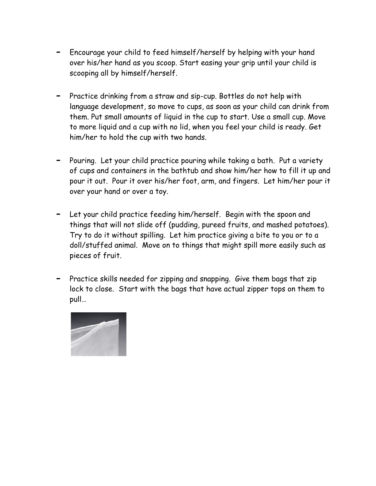- **-** Encourage your child to feed himself/herself by helping with your hand over his/her hand as you scoop. Start easing your grip until your child is scooping all by himself/herself.
- **-** Practice drinking from a straw and sip-cup. Bottles do not help with language development, so move to cups, as soon as your child can drink from them. Put small amounts of liquid in the cup to start. Use a small cup. Move to more liquid and a cup with no lid, when you feel your child is ready. Get him/her to hold the cup with two hands.
- **-** Pouring. Let your child practice pouring while taking a bath. Put a variety of cups and containers in the bathtub and show him/her how to fill it up and pour it out. Pour it over his/her foot, arm, and fingers. Let him/her pour it over your hand or over a toy.
- **-** Let your child practice feeding him/herself. Begin with the spoon and things that will not slide off (pudding, pureed fruits, and mashed potatoes). Try to do it without spilling. Let him practice giving a bite to you or to a doll/stuffed animal. Move on to things that might spill more easily such as pieces of fruit.
- **-** Practice skills needed for zipping and snapping. Give them bags that zip lock to close. Start with the bags that have actual zipper tops on them to pull…